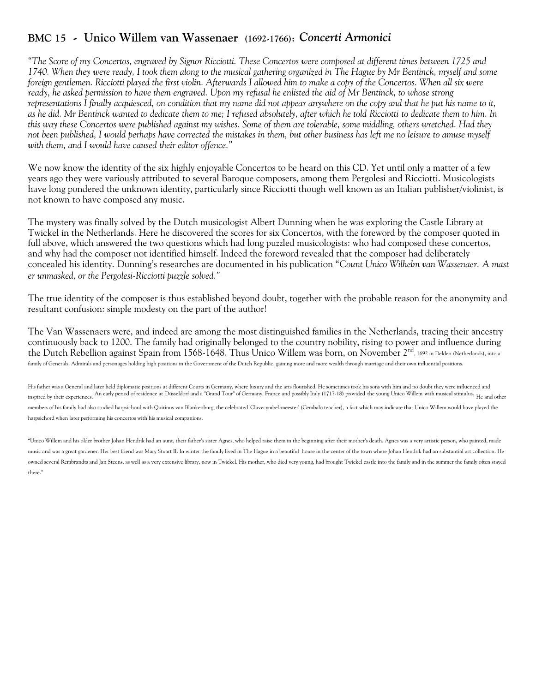## **BMC 15 - Unico Willem van Wassenaer (1692-1766):** *Concerti Armonici*

*"The Score of my Concertos, engraved by Signor Ricciotti. These Concertos were composed at different times between 1725 and 1740. When they were ready, I took them along to the musical gathering organized in The Hague by Mr Bentinck, myself and some foreign gentlemen. Ricciotti played the first violin. Afterwards I allowed him to make a copy of the Concertos. When all six were ready, he asked permission to have them engraved. Upon my refusal he enlisted the aid of Mr Bentinck, to whose strong representations I finally acquiesced, on condition that my name did not appear anywhere on the copy and that he put his name to it, as he did. Mr Bentinck wanted to dedicate them to me; I refused absolutely, after which he told Ricciotti to dedicate them to him. In this way these Concertos were published against my wishes. Some of them are tolerable, some middling, others wretched. Had they not been published, I would perhaps have corrected the mistakes in them, but other business has left me no leisure to amuse myself with them, and I would have caused their editor offence."*

We now know the identity of the six highly enjoyable Concertos to be heard on this CD. Yet until only a matter of a few years ago they were variously attributed to several Baroque composers, among them Pergolesi and Ricciotti. Musicologists have long pondered the unknown identity, particularly since Ricciotti though well known as an Italian publisher/violinist, is not known to have composed any music.

The mystery was finally solved by the Dutch musicologist Albert Dunning when he was exploring the Castle Library at Twickel in the Netherlands. Here he discovered the scores for six Concertos, with the foreword by the composer quoted in full above, which answered the two questions which had long puzzled musicologists: who had composed these concertos, and why had the composer not identified himself. Indeed the foreword revealed that the composer had deliberately concealed his identity. Dunning's researches are documented in his publication "*Count Unico Wilhelm van Wassenaer. A mast er unmasked, or the Pergolesi-Ricciotti puzzle solved."*

The true identity of the composer is thus established beyond doubt, together with the probable reason for the anonymity and resultant confusion: simple modesty on the part of the author!

The Van Wassenaers were, and indeed are among the most distinguished families in the Netherlands, tracing their ancestry continuously back to 1200. The family had originally belonged to the country nobility, rising to power and influence during the Dutch Rebellion against Spain from 1568-1648. Thus Unico Willem was born, on November 2<sup>nd</sup>, 1692 in Delden (Netherlands), into a family of Generals, Admirals and personages holding high positions in the Government of the Dutch Republic, gaining more and more wealth through marriage and their own influential positions.

His father was a General and later held diplomatic positions at different Courts in Germany, where luxury and the arts flourished. He sometimes took his sons with him and no doubt they were influenced and inspired by their experiences. An early period of residence at Düsseldorf and a "Grand Tour" of Germany, France and possibly Italy (1717-18) provided the young Unico Willem with musical stimulus. He and other members of his family had also studied harpsichord with Quirinus van Blankenburg, the celebrated 'Clavecymbel-meester' (Cembalo teacher), a fact which may indicate that Unico Willem would have played the harpsichord when later performing his concertos with his musical companions.

"Unico Willem and his older brother Johan Hendrik had an aunt, their father's sister Agnes, who helped raise them in the beginning after their mother's death. Agnes was a very artistic person, who painted, made music and was a great gardener. Her best friend was Mary Stuart II. In winter the family lived in The Hague in a beautiful house in the center of the town where Johan Hendrik had an substantial art collection. He owned several Rembrandts and Jan Steens, as well as a very extensive library, now in Twickel. His mother, who died very young, had brought Twickel castle into the family and in the summer the family often stayed there."